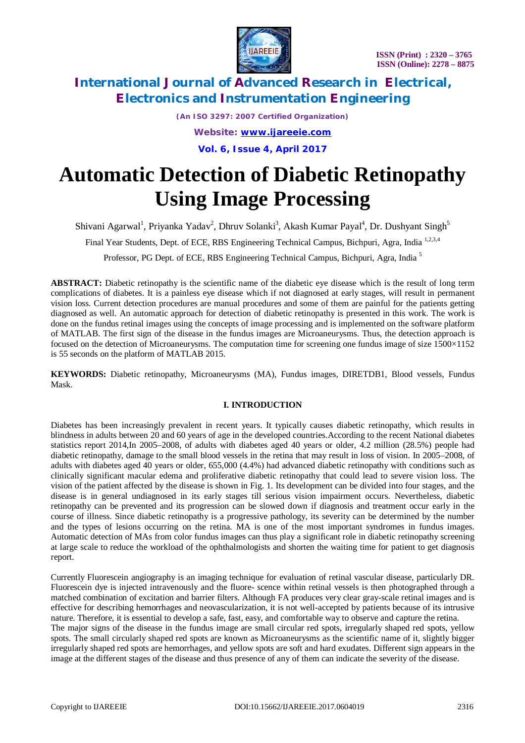

*(An ISO 3297: 2007 Certified Organization) Website: [www.ijareeie.com](http://www.ijareeie.com)*

**Vol. 6, Issue 4, April 2017**

# **Automatic Detection of Diabetic Retinopathy Using Image Processing**

Shivani Agarwal<sup>1</sup>, Priyanka Yadav<sup>2</sup>, Dhruv Solanki<sup>3</sup>, Akash Kumar Payal<sup>4</sup>, Dr. Dushyant Singh<sup>5</sup>

Final Year Students, Dept. of ECE, RBS Engineering Technical Campus, Bichpuri, Agra, India<sup>1,2,3,4</sup>

Professor, PG Dept. of ECE, RBS Engineering Technical Campus, Bichpuri, Agra, India <sup>5</sup>

**ABSTRACT:** Diabetic retinopathy is the scientific name of the diabetic eye disease which is the result of long term complications of diabetes. It is a painless eye disease which if not diagnosed at early stages, will result in permanent vision loss. Current detection procedures are manual procedures and some of them are painful for the patients getting diagnosed as well. An automatic approach for detection of diabetic retinopathy is presented in this work. The work is done on the fundus retinal images using the concepts of image processing and is implemented on the software platform of MATLAB. The first sign of the disease in the fundus images are Microaneurysms. Thus, the detection approach is focused on the detection of Microaneurysms. The computation time for screening one fundus image of size  $1500\times1152$ is 55 seconds on the platform of MATLAB 2015.

**KEYWORDS:** Diabetic retinopathy, Microaneurysms (MA), Fundus images, DIRETDB1, Blood vessels, Fundus Mask.

### **I. INTRODUCTION**

Diabetes has been increasingly prevalent in recent years. It typically causes diabetic retinopathy, which results in blindness in adults between 20 and 60 years of age in the developed countries.According to the recent National diabetes statistics report 2014,In 2005–2008, of adults with diabetes aged 40 years or older, 4.2 million (28.5%) people had diabetic retinopathy, damage to the small blood vessels in the retina that may result in loss of vision. In 2005–2008, of adults with diabetes aged 40 years or older, 655,000 (4.4%) had advanced diabetic retinopathy with conditions such as clinically significant macular edema and proliferative diabetic retinopathy that could lead to severe vision loss. The vision of the patient affected by the disease is shown in Fig. 1. Its development can be divided into four stages, and the disease is in general undiagnosed in its early stages till serious vision impairment occurs. Nevertheless, diabetic retinopathy can be prevented and its progression can be slowed down if diagnosis and treatment occur early in the course of illness. Since diabetic retinopathy is a progressive pathology, its severity can be determined by the number and the types of lesions occurring on the retina. MA is one of the most important syndromes in fundus images. Automatic detection of MAs from color fundus images can thus play a significant role in diabetic retinopathy screening at large scale to reduce the workload of the ophthalmologists and shorten the waiting time for patient to get diagnosis report.

Currently Fluorescein angiography is an imaging technique for evaluation of retinal vascular disease, particularly DR. Fluorescein dye is injected intravenously and the fluore- scence within retinal vessels is then photographed through a matched combination of excitation and barrier filters. Although FA produces very clear gray-scale retinal images and is effective for describing hemorrhages and neovascularization, it is not well-accepted by patients because of its intrusive nature. Therefore, it is essential to develop a safe, fast, easy, and comfortable way to observe and capture the retina. The major signs of the disease in the fundus image are small circular red spots, irregularly shaped red spots, yellow spots. The small circularly shaped red spots are known as Microaneurysms as the scientific name of it, slightly bigger irregularly shaped red spots are hemorrhages, and yellow spots are soft and hard exudates. Different sign appears in the image at the different stages of the disease and thus presence of any of them can indicate the severity of the disease.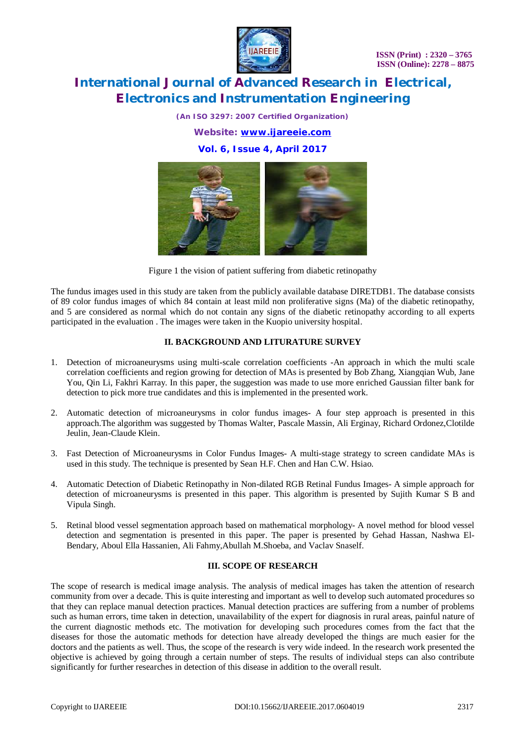

*(An ISO 3297: 2007 Certified Organization)*

*Website: [www.ijareeie.com](http://www.ijareeie.com)*

**Vol. 6, Issue 4, April 2017**



Figure 1 the vision of patient suffering from diabetic retinopathy

The fundus images used in this study are taken from the publicly available database DIRETDB1. The database consists of 89 color fundus images of which 84 contain at least mild non proliferative signs (Ma) of the diabetic retinopathy, and 5 are considered as normal which do not contain any signs of the diabetic retinopathy according to all experts participated in the evaluation . The images were taken in the Kuopio university hospital.

### **II. BACKGROUND AND LITURATURE SURVEY**

- 1. Detection of microaneurysms using multi-scale correlation coefficients -An approach in which the multi scale correlation coefficients and region growing for detection of MAs is presented by Bob Zhang, Xiangqian Wub, Jane You, Qin Li, Fakhri Karray. In this paper, the suggestion was made to use more enriched Gaussian filter bank for detection to pick more true candidates and this is implemented in the presented work.
- 2. Automatic detection of microaneurysms in color fundus images- A four step approach is presented in this approach.The algorithm was suggested by Thomas Walter, Pascale Massin, Ali Erginay, Richard Ordonez,Clotilde Jeulin, Jean-Claude Klein.
- 3. Fast Detection of Microaneurysms in Color Fundus Images- A multi-stage strategy to screen candidate MAs is used in this study. The technique is presented by Sean H.F. Chen and Han C.W. Hsiao.
- 4. Automatic Detection of Diabetic Retinopathy in Non-dilated RGB Retinal Fundus Images- A simple approach for detection of microaneurysms is presented in this paper. This algorithm is presented by Sujith Kumar S B and Vipula Singh.
- 5. Retinal blood vessel segmentation approach based on mathematical morphology- A novel method for blood vessel detection and segmentation is presented in this paper. The paper is presented by Gehad Hassan, Nashwa El-Bendary, Aboul Ella Hassanien, Ali Fahmy,Abullah M.Shoeba, and Vaclav Snaself.

#### **III. SCOPE OF RESEARCH**

The scope of research is medical image analysis. The analysis of medical images has taken the attention of research community from over a decade. This is quite interesting and important as well to develop such automated procedures so that they can replace manual detection practices. Manual detection practices are suffering from a number of problems such as human errors, time taken in detection, unavailability of the expert for diagnosis in rural areas, painful nature of the current diagnostic methods etc. The motivation for developing such procedures comes from the fact that the diseases for those the automatic methods for detection have already developed the things are much easier for the doctors and the patients as well. Thus, the scope of the research is very wide indeed. In the research work presented the objective is achieved by going through a certain number of steps. The results of individual steps can also contribute significantly for further researches in detection of this disease in addition to the overall result.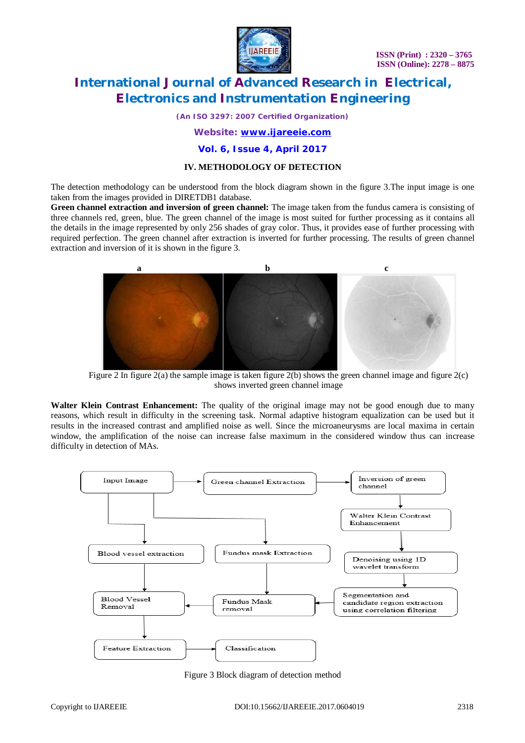

*(An ISO 3297: 2007 Certified Organization)*

### *Website: [www.ijareeie.com](http://www.ijareeie.com)*

**Vol. 6, Issue 4, April 2017**

### **IV. METHODOLOGY OF DETECTION**

The detection methodology can be understood from the block diagram shown in the figure 3.The input image is one taken from the images provided in DIRETDB1 database.

**Green channel extraction and inversion of green channel:** The image taken from the fundus camera is consisting of three channels red, green, blue. The green channel of the image is most suited for further processing as it contains all the details in the image represented by only 256 shades of gray color. Thus, it provides ease of further processing with required perfection. The green channel after extraction is inverted for further processing. The results of green channel extraction and inversion of it is shown in the figure 3.



Figure 2 In figure 2(a) the sample image is taken figure 2(b) shows the green channel image and figure 2(c) shows inverted green channel image

**Walter Klein Contrast Enhancement:** The quality of the original image may not be good enough due to many reasons, which result in difficulty in the screening task. Normal adaptive histogram equalization can be used but it results in the increased contrast and amplified noise as well. Since the microaneurysms are local maxima in certain window, the amplification of the noise can increase false maximum in the considered window thus can increase difficulty in detection of MAs.



Figure 3 Block diagram of detection method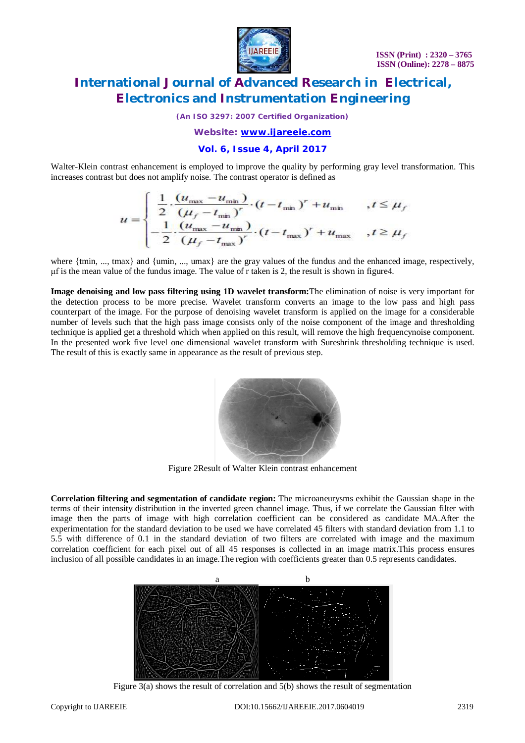

*(An ISO 3297: 2007 Certified Organization)*

*Website: [www.ijareeie.com](http://www.ijareeie.com)*

### **Vol. 6, Issue 4, April 2017**

Walter-Klein contrast enhancement is employed to improve the quality by performing gray level transformation. This increases contrast but does not amplify noise. The contrast operator is defined as

$$
u = \begin{cases} \frac{1}{2} \cdot \frac{(u_{\max} - u_{\min})}{(\mu_f - t_{\min})^r} \cdot (t - t_{\min})^r + u_{\min} & , t \le \mu_f \\ -\frac{1}{2} \cdot \frac{(u_{\max} - u_{\min})}{(\mu_f - t_{\max})^r} \cdot (t - t_{\max})^r + u_{\max} & , t \ge \mu_f \end{cases}
$$

where  ${\text{tmin}, ..., \text{tmax}}$  and  ${\text{tmin}, ..., \text{tmax}}$  are the gray values of the fundus and the enhanced image, respectively, μf is the mean value of the fundus image. The value of r taken is 2, the result is shown in figure4.

**Image denoising and low pass filtering using 1D wavelet transform:**The elimination of noise is very important for the detection process to be more precise. Wavelet transform converts an image to the low pass and high pass counterpart of the image. For the purpose of denoising wavelet transform is applied on the image for a considerable number of levels such that the high pass image consists only of the noise component of the image and thresholding technique is applied get a threshold which when applied on this result, will remove the high frequencynoise component. In the presented work five level one dimensional wavelet transform with Sureshrink thresholding technique is used. The result of this is exactly same in appearance as the result of previous step.



Figure 2Result of Walter Klein contrast enhancement

**Correlation filtering and segmentation of candidate region:** The microaneurysms exhibit the Gaussian shape in the terms of their intensity distribution in the inverted green channel image. Thus, if we correlate the Gaussian filter with image then the parts of image with high correlation coefficient can be considered as candidate MA.After the experimentation for the standard deviation to be used we have correlated 45 filters with standard deviation from 1.1 to 5.5 with difference of 0.1 in the standard deviation of two filters are correlated with image and the maximum correlation coefficient for each pixel out of all 45 responses is collected in an image matrix.This process ensures inclusion of all possible candidates in an image.The region with coefficients greater than 0.5 represents candidates.



Figure 3(a) shows the result of correlation and 5(b) shows the result of segmentation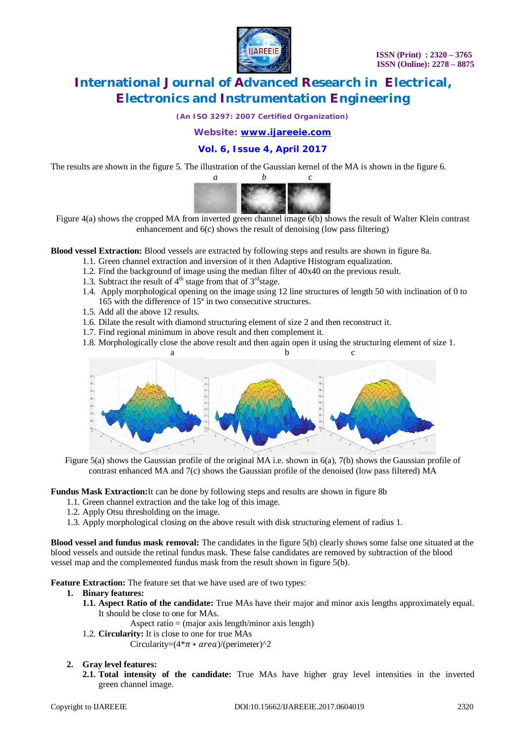

*(An ISO 3297: 2007 Certified Organization)*

*Website: [www.ijareeie.com](http://www.ijareeie.com)*

**Vol. 6, Issue 4, April 2017**

The results are shown in the figure 5. The illustration of the Gaussian kernel of the MA is shown in the figure 6.



Figure 4(a) shows the cropped MA from inverted green channel image 6(b) shows the result of Walter Klein contrast enhancement and 6(c) shows the result of denoising (low pass filtering)

**Blood vessel Extraction:** Blood vessels are extracted by following steps and results are shown in figure 8a.

- 1.1. Green channel extraction and inversion of it then Adaptive Histogram equalization.
- 1.2. Find the background of image using the median filter of 40x40 on the previous result.
- 1.3. Subtract the result of  $4<sup>th</sup>$  stage from that of  $3<sup>rd</sup>$  stage.
- 1.4. Apply morphological opening on the image using 12 line structures of length 50 with inclination of 0 to 165 with the difference of 15º in two consecutive structures.
- 1.5. Add all the above 12 results.
- 1.6. Dilate the result with diamond structuring element of size 2 and then reconstruct it.
- 1.7. Find regional minimum in above result and then complement it.
- 1.8. Morphologically close the above result and then again open it using the structuring element of size 1.



Figure 5(a) shows the Gaussian profile of the original MA i.e. shown in 6(a), 7(b) shows the Gaussian profile of contrast enhanced MA and 7(c) shows the Gaussian profile of the denoised (low pass filtered) MA

**Fundus Mask Extraction:**It can be done by following steps and results are shown in figure 8b

- 1.1. Green channel extraction and the take log of this image.
- 1.2. Apply Otsu thresholding on the image.
- 1.3. Apply morphological closing on the above result with disk structuring element of radius 1.

**Blood vessel and fundus mask removal:** The candidates in the figure 5(b) clearly shows some false one situated at the blood vessels and outside the retinal fundus mask. These false candidates are removed by subtraction of the blood vessel map and the complemented fundus mask from the result shown in figure 5(b).

**Feature Extraction:** The feature set that we have used are of two types:

#### **1. Binary features:**

- **1.1. Aspect Ratio of the candidate:** True MAs have their major and minor axis lengths approximately equal. It should be close to one for MAs.
	- Aspect ratio  $=$  (major axis length/minor axis length)
- 1.2. **Circularity:** It is close to one for true MAs

Circularity= $(4*\pi * area)/(perimeter)^2$ 

#### **2. Gray level features:**

**2.1. Total intensity of the candidate:** True MAs have higher gray level intensities in the inverted green channel image.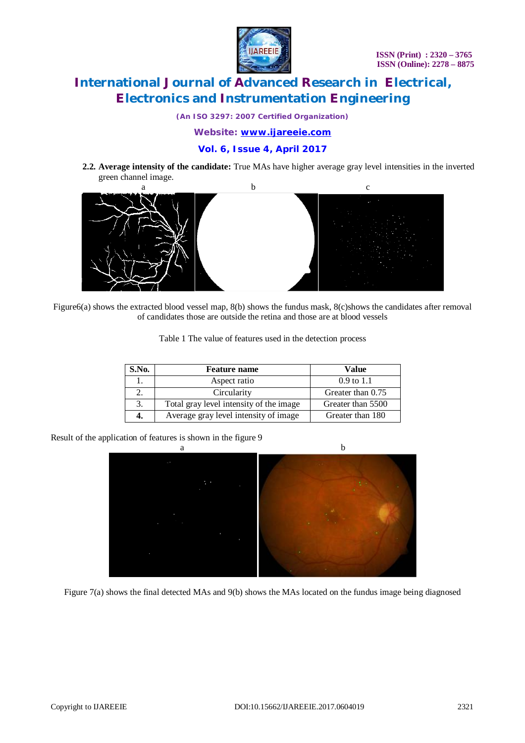

*(An ISO 3297: 2007 Certified Organization)*

*Website: [www.ijareeie.com](http://www.ijareeie.com)*

### **Vol. 6, Issue 4, April 2017**

**2.2. Average intensity of the candidate:** True MAs have higher average gray level intensities in the inverted green channel image.



Figure6(a) shows the extracted blood vessel map, 8(b) shows the fundus mask, 8(c)shows the candidates after removal of candidates those are outside the retina and those are at blood vessels

| Table 1 The value of features used in the detection process |  |  |  |
|-------------------------------------------------------------|--|--|--|
|-------------------------------------------------------------|--|--|--|

| S.No. | <b>Feature name</b>                     | Value                 |  |
|-------|-----------------------------------------|-----------------------|--|
|       | Aspect ratio                            | $0.9 \text{ to } 1.1$ |  |
|       | Circularity                             | Greater than 0.75     |  |
| 3.    | Total gray level intensity of the image | Greater than 5500     |  |
| 4.    | Average gray level intensity of image   | Greater than 180      |  |

Result of the application of features is shown in the figure 9



Figure 7(a) shows the final detected MAs and 9(b) shows the MAs located on the fundus image being diagnosed